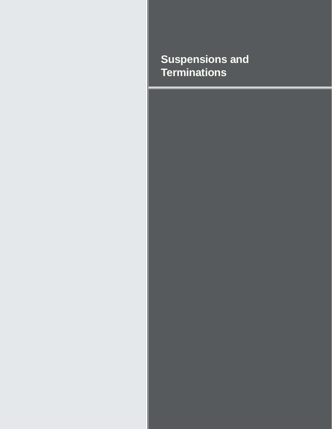## **Suspensions and Terminations**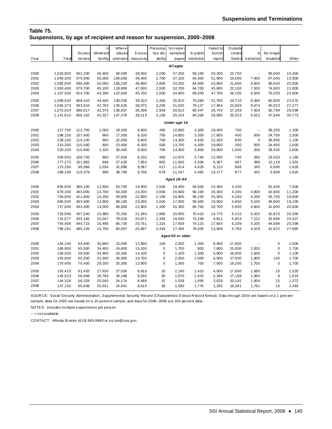## **Table 75. Suspensions, by age of recipient and reason for suspension, 2000–2008**

|          |              |         | $\ln$    | Where-  |           | Presump-    | No repre-        |             | Failed to | Outside       |                          |             |        |
|----------|--------------|---------|----------|---------|-----------|-------------|------------------|-------------|-----------|---------------|--------------------------|-------------|--------|
|          |              | Excess  | Medicaid | abouts  | Excess    | tive dis-   | sentative        | In public   | fumish    | United        | In                       | No longer   |        |
| Year     | Total        | inc ome | facility | unknown | resources | ability     | payee            | institution | report    | <b>States</b> | transition               | disabled    | Other  |
| All ages |              |         |          |         |           |             |                  |             |           |               |                          |             |        |
| 2000     | 1,016,800    | 562,200 | 49,400   | 94,000  | 39,000    | 2,000       | 37,200           | 59,100      | 50,200    | 22,700        | $\overline{\phantom{a}}$ | 90,600      | 10,400 |
| 2001     | 1,045,300    | 575,900 | 50,000   | 106,600 | 48,400    | 2,700       | 37,100           | 64,300      | 51,900    | 19,600        | 7,400                    | 67,500      | 13,900 |
| 2002     | 1,092,500    | 596,400 | 50,000   | 105,200 | 46,800    | 2,800       | 33,200           | 64,900      | 53,600    | 21,600        | 6,600                    | 90,600      | 20,800 |
| 2003     | 1,063,400    | 579,700 | 45, 100  | 119,900 | 47,000    | 2,500       | 32,700           | 64,700      | 45,600    | 22,100        | 7,500                    | 74,800      | 21,800 |
| 2004     | 1,107,500    | 614,700 | 44,300   | 122,600 | 45,700    | 2,000       | 34,600           | 69,200      | 47,700    | 26,100        | 6,500                    | 70,200      | 23,900 |
| 2005     | 1,089,540    | 608,410 | 44,400   | 130,030 | 39,320    | 2,450       | 35,610           | 75,560      | 31,700    | 24,710        | 8,380                    | 65,900      | 23,070 |
| 2006     | 1,045,373    | 593,810 | 42,763   | 133,626 | 38,075    | 3,205       | 31,620           | 79,127      | 17,464    | 23,909        | 9,474                    | 45,023      | 27,277 |
| 2007     | 1,072,024    | 598,017 | 42,070   | 136,807 | 38,306    | 2,954       | 30,612           | 80,447      | 28,743    | 27,269        | 7,404                    | 50,799      | 28,596 |
| 2008     | 1,141,610    | 656,162 | 42,327   | 147,378 | 39,213    | 3,150       | 30,143           | 84,293      | 29,080    | 25,023        | 6,522                    | 47,546      | 30,773 |
|          | Under age 18 |         |          |         |           |             |                  |             |           |               |                          |             |        |
| 2000     | 217,700      | 112,700 | 1,000    | 18,300  | 6,600     | 400         | 15,800           | 3,300       | 19,400    | 700           | $\overline{\phantom{a}}$ | 38,200      | 1,300  |
| 2001     | 198,100      | 107,400 | 900      | 17,500  | 9,100     | 700         | 14,800           | 3,300       | 17,800    | 400           | 500                      | 24,700      | 1,000  |
| 2002     | 228,100      | 116,100 | 900      | 22,000  | 9,800     | 700         | 13,300           | 4,500       | 22,200    | 600           | $\mathbf 0$              | 36,900      | 1,100  |
| 2003     | 214,300      | 115,500 | 800      | 23,900  | 9,300     | 500         | 13,700           | 4,300       | 19,600    | 300           | 500                      | 24,900      | 1,000  |
| 2004     | 220,100      | 110,900 | 1,100    | 30,400  | 9,000     | 700         | 13,000           | 3,800       | 20,000    | 1,000         | 200                      | 28,400      | 1,600  |
| 2005     | 200,550      | 108,750 | 800      | 27,650  | 8,150     | 460         | 12,870           | 3,740       | 12,930    | 740           | 280                      | 23,020      | 1,160  |
| 2006     | 177,273      | 101,982 | 948      | 27,420  | 7,854     | 802         | 11,920           | 4,336       | 6,307     | 867           | 388                      | 12,118      | 1,331  |
| 2007     | 173,290      | 96,966  | 1,034    | 31,898  | 9,087     | 617         | 11,414           | 4,629       | 8,110     | 868           | 345                      | 6,696       | 1,626  |
| 2008     | 198,198      | 110,379 | 996      | 38,780  | 9,706     | 679         | 11,247           | 4,482       | 13, 177   | 877           | 342                      | 5,908       | 1,625  |
|          |              |         |          |         |           |             | Aged 18-64       |             |           |               |                          |             |        |
| 2000     | 635,000      | 385,100 | 12,600   | 53,700  | 19,600    | 1,500       | 19,400           | 54,500      | 24,400    | 4,200         | $\sim$                   | 52,400      | 7,600  |
| 2001     | 678,300      | 403,000 | 14,700   | 64,300  | 24,200    | 2,000       | 20,600           | 60,100      | 26,300    | 4,200         | 4,900                    | 42,800      | 11,200 |
| 2002     | 704,900      | 421,800 | 14,200   | 59,900  | 22,900    | 2,100       | 18,800           | 59,100      | 25,500    | 4,200         | 4,100                    | 53,700      | 18,600 |
| 2003     | 685,500      | 403,900 | 12,800   | 69,100  | 23,000    | 2,000       | 17,000           | 59,400      | 19,500    | 4,800         | 5,100                    | 49,800      | 19,100 |
| 2004     | 717,000      | 433,400 | 14,000   | 66,900  | 22,800    | 1,300       | 20,300           | 64,700      | 20,700    | 5,900         | 4,600                    | 41,800      | 20,600 |
| 2005     | 733,580      | 437,240 | 15,980   | 75,350  | 21,260    | 1,980       | 20,600           | 70,410      | 14,770    | 6,310         | 6,420                    | 42,870      | 20,390 |
| 2006     | 722,577      | 435,160 | 15,047   | 79,018  | 20,671    | 2,383       | 18,030           | 73,258      | 8,811     | 5,854         | 7,122                    | 32,896      | 24,327 |
| 2007     | 754,406      | 444,723 | 15,496   | 80,735  | 20,751    | 2,315       | 17,659           | 74,123      | 17,604    | 6,209         | 5,105                    | 44,088      | 25,598 |
| 2008     | 796,262      | 485,145 | 15,700   | 83,657  | 20,897    | 2,443       | 17,306           | 78,035      | 13,608    | 5,765         | 4,419                    | 41,622      | 27,665 |
|          |              |         |          |         |           |             | Aged 65 or older |             |           |               |                          |             |        |
| 2000     | 164,100      | 64,400  | 35,800   | 22,000  | 12,800    | 100         | 2,000            | 1,300       | 6,400     | 17,800        | $\mathbb{R}^2$           | $\pmb{0}$   | 1,500  |
| 2001     | 168,900      | 65,500  | 34,400   | 24,800  | 15, 100   | 0           | 1,700            | 900         | 7,800     | 15,000        | 2,000                    | 0           | 1,700  |
| 2002     | 159,500      | 58,500  | 34,900   | 23,300  | 14,100    | $\pmb{0}$   | 1,100            | 1,300       | 5,900     | 16,800        | 2,500                    | 0           | 1,100  |
| 2003     | 163,600      | 60,300  | 31,500   | 26,900  | 14,700    | 0           | 2,000            | 1,000       | 6,500     | 17,000        | 1,900                    | 100         | 1,700  |
| 2004     | 170,400      | 70,400  | 29,200   | 25,300  | 13,900    | $\mathbf 0$ | 1,300            | 700         | 7,000     | 19,200        | 1,700                    | $\mathbf 0$ | 1,700  |
| 2005     | 155,410      | 62,420  | 27,620   | 27,030  | 9,910     | 10          | 2,140            | 1,410       | 4,000     | 17,660        | 1,680                    | 10          | 1,520  |
| 2006     | 145,523      | 56,668  | 26,768   | 26,188  | 9,550     | 20          | 1,670            | 1,533       | 2,346     | 17,188        | 1,964                    | 9           | 1,619  |
| 2007     | 144,328      | 56,328  | 25,540   | 24,174  | 8,468     | 22          | 1,539            | 1,695       | 3,029     | 20,192        | 1,954                    | 15          | 1,372  |
| 2008     | 147,150      | 60,638  | 25,631   | 24,941  | 8,610     | 28          | 1,590            | 1,776       | 2,295     | 18,381        | 1,761                    | 16          | 1,483  |

SOUR CE: Social Security Administration, Supplemental Security Record (Characteristic Extract R ecord format). D ata through 2004 are based on a 1 percent sample, data for 2005 are based on a 10 percent sample, and data for 2006–2008 are 100 percent data.

NOTES: Includes multiple suspensions per person.

 $-$  = not available.

CONTACT: Alfreda Brooks (410) 965-9849 or ssi.asr@ssa.gov.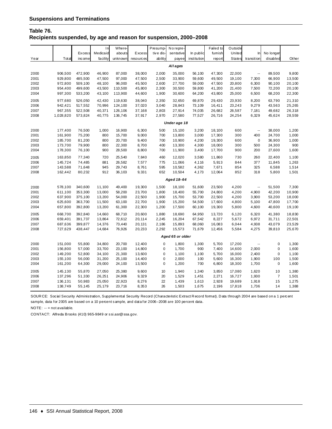## **Table 76. Recipients suspended, by age and reason for suspension, 2000–2008**

|          |              |         | $\ln$    | Where-  |           | Presump-    | No repre-        |             | Failed to | Outside       |                          |                |        |
|----------|--------------|---------|----------|---------|-----------|-------------|------------------|-------------|-----------|---------------|--------------------------|----------------|--------|
|          |              | Excess  | Medicaid | abouts  | Excess    | tive dis-   | sentative        | In public   | fumish    | United        | In                       | No longer      |        |
| Year     | Total        | inc ome | facility | unknown | resources | ability     | payee            | institution | report    | <b>States</b> | transition               | disabled       | Other  |
| All ages |              |         |          |         |           |             |                  |             |           |               |                          |                |        |
|          |              |         |          |         |           |             |                  |             |           |               |                          |                |        |
| 2000     | 906,500      | 472,900 | 46,900   | 87,000  | 38,000    | 2,000       | 35,000           | 56,100      | 47,300    | 22,000        | $\overline{\phantom{a}}$ | 89,500         | 9,800  |
| 2001     | 929,800      | 485,500 | 47,500   | 97,000  | 47,500    | 2,500       | 33,900           | 59,600      | 49,500    | 19,100        | 7,300                    | 66,900         | 13,500 |
| 2002     | 972,800      | 509,100 | 48,100   | 96,000  | 45,500    | 2,600       | 27,700           | 59,000      | 47,500    | 20,800        | 6,300                    | 90,100         | 20,100 |
| 2003     | 954,400      | 499,600 | 43,500   | 110,500 | 45,800    | 2,300       | 30,500           | 59,800      | 41,200    | 21,400        | 7,500                    | 72,200         | 20,100 |
| 2004     | 997,300      | 533,200 | 43,100   | 113,900 | 44,600    | 1,900       | 30,600           | 64,200      | 43,800    | 25,000        | 6,500                    | 68,200         | 22,300 |
| 2005     | 977,680      | 526,050 | 42,430   | 119,630 | 38,040    | 2,350       | 32,650           | 69,870      | 29,430    | 23,930        | 8,200                    | 63,790         | 21,310 |
| 2006     | 942,421      | 517,552 | 70,996   | 124,100 | 37,020    | 3,040       | 28,843           | 73,109      | 16,411    | 23,243        | 9,279                    | 43,563         | 25,265 |
| 2007     | 967,355      | 522,508 | 40,371   | 126,106 | 37, 168   | 2,803       | 27,914           | 74,035      | 26,682    | 26,587        | 7,181                    | 49,682         | 26,318 |
| 2008     | 1,028,820    | 573,824 | 40,775   | 136,745 | 37,917    | 2,970       | 27,580           | 77,527      | 26,716    | 24,254        | 6,329                    | 45,624         | 28,559 |
|          | Under age 18 |         |          |         |           |             |                  |             |           |               |                          |                |        |
| 2000     | 177,400      | 76,500  | 1,000    | 16,900  | 6,300     | 500         | 15,100           | 3,200       | 18,100    | 600           | $\overline{\phantom{a}}$ | 38,000         | 1,200  |
| 2001     | 161,900      | 75,200  | 800      | 15,700  | 9,000     | 700         | 13,800           | 3,000       | 17,300    | 300           | 400                      | 24,700         | 1,000  |
| 2002     | 185,700      | 81,200  | 800      | 20,700  | 9,400     | 700         | 10,900           | 4,200       | 19,300    | 600           | $\mathsf 0$              | 36,900         | 1,000  |
| 2003     | 173,700      | 79,900  | 800      | 22,300  | 8,700     | 400         | 13,300           | 4,300       | 18,000    | 300           | 500                      | 24,300         | 900    |
| 2004     | 178,300      | 76,100  | 900      | 28,500  | 8,800     | 700         | 11,900           | 3,400       | 17,700    | 900           | 200                      | 27,600         | 1,600  |
| 2005     | 163,850      | 77,340  | 720      | 25,540  | 7,840     | 460         | 12,020           | 3,580       | 11,860    | 730           | 260                      | 22,400         | 1,100  |
| 2006     | 145,724      | 74,485  | 881      | 26,582  | 7,577     | 775         | 11,066           | 4,116       | 5,913     | 844           | 377                      | 11,845         | 1,263  |
| 2007     | 143,588      | 71,648  | 945      | 29,743  | 8,761     | 595         | 10,582           | 4,362       | 7,671     | 854           | 325                      | 6,588          | 1,514  |
| 2008     | 162,442      | 80,232  | 912      | 36,103  | 9,331     | 652         | 10,504           | 4,173       | 12,064    | 852           | 318                      | 5,800          | 1,501  |
|          |              |         |          |         |           |             | Aged 18-64       |             |           |               |                          |                |        |
| 2000     | 578,100      | 340,600 | 11,100   | 49,400  | 19,300    | 1,500       | 18,100           | 51,600      | 23,500    | 4,200         | Щ,                       | 51,500         | 7,300  |
| 2001     | 611,100      | 353,300 | 13,000   | 58,200  | 23,700    | 1,800       | 18,400           | 55,700      | 24,800    | 4,200         | 4,900                    | 42,200         | 10,900 |
| 2002     | 637,900      | 375,100 | 13,200   | 54,000  | 22,500    | 1,900       | 15,700           | 53,700      | 22,500    | 4,200         | 3,900                    | 53,200         | 18,000 |
| 2003     | 625,600      | 363,700 | 11,500   | 63,100  | 22,700    | 1,900       | 15,200           | 54,500      | 17,600    | 4,800         | 5,100                    | 47,800         | 17,700 |
| 2004     | 657,800      | 392,800 | 13,200   | 61,300  | 22,300    | 1,200       | 17,500           | 60,100      | 19,300    | 5,800         | 4,600                    | 40,600         | 19,100 |
| 2005     | 668,700      | 392,840 | 14,660   | 68,710  | 20,600    | 1,880       | 18,690           | 64,950      | 13,720    | 6,120         | 6,320                    | 41,380         | 18,830 |
| 2006     | 659,401      | 391,737 | 13,864   | 72,612  | 20, 114   | 2,245       | 16,204           | 67,542      | 8,227     | 5,672         | 6,972                    | 31,711         | 22,501 |
| 2007     | 687,636      | 399,877 | 14,376   | 73,440  | 20, 131   | 2,186       | 15,893           | 68,060      | 16,083    | 6,044         | 4,938                    | 43,079         | 23,529 |
| 2008     | 727,629      | 438,447 | 14,684   | 76,926  | 20,233    | 2,292       | 15,573           | 71,679      | 12,456    | 5,584         | 4,275                    | 39,810         | 25,670 |
|          |              |         |          |         |           |             | Aged 65 or older |             |           |               |                          |                |        |
| 2000     | 151,000      | 55,800  | 34,800   | 20,700  | 12,400    | 0           | 1,800            | 1,300       | 5,700     | 17,200        | $\sim$                   | $\mathsf 0$    | 1,300  |
| 2001     | 156,800      | 57,000  | 33,700   | 23,100  | 14,800    | 0           | 1,700            | 900         | 7,400     | 14,600        | 2,000                    | 0              | 1,600  |
| 2002     | 149,200      | 52,800  | 34,100   | 21,300  | 13,600    | 0           | 1,100            | 1,100       | 5,700     | 16,000        | 2,400                    | 0              | 1,100  |
| 2003     | 155,100      | 56,000  | 31,200   | 25,100  | 14,400    | 0           | 2,000            | 100         | 5,600     | 16,300        | 1,900                    | 100            | 1,500  |
| 2004     | 161,200      | 64,300  | 29,000   | 24,100  | 13,500    | $\mathbf 0$ | 1,200            | 700         | 6,800     | 18,300        | 1,700                    | $\mathbf 0$    | 1,600  |
| 2005     | 145,130      | 55,870  | 27,050   | 25,380  | 9,600     | 10          | 1,940            | 1,340       | 3,850     | 17,080        | 1,620                    | 10             | 1,380  |
| 2006     | 137,296      | 51,330  | 26,251   | 24,906  | 9,329     | 20          | 1,529            | 1,451       | 2,271     | 16,727        | 1,930                    | $\overline{7}$ | 1,501  |
| 2007     | 136,131      | 50,983  | 25,050   | 22,923  | 8,276     | 22          | 1,439            | 1,613       | 2,928     | 19,689        | 1,918                    | 15             | 1,275  |
| 2008     | 138,749      | 55,145  | 25, 179  | 23,716  | 8,353     | 26          | 1,503            | 1,675       | 2,196     | 17,818        | 1,736                    | 14             | 1,388  |
|          |              |         |          |         |           |             |                  |             |           |               |                          |                |        |

SOUR CE: Social Security Administration, Supplemental Security Record (Characteristic Extract Record format). Data through 2004 are based on a 1 percent sample, data for 2005 are based on a 10 percent sample, and data for 2006–2008 are 100 percent data.

NOTE: -- = not available.

CONTACT: Alfreda Brooks (410) 965-9849 or ssi.asr@ssa.gov.